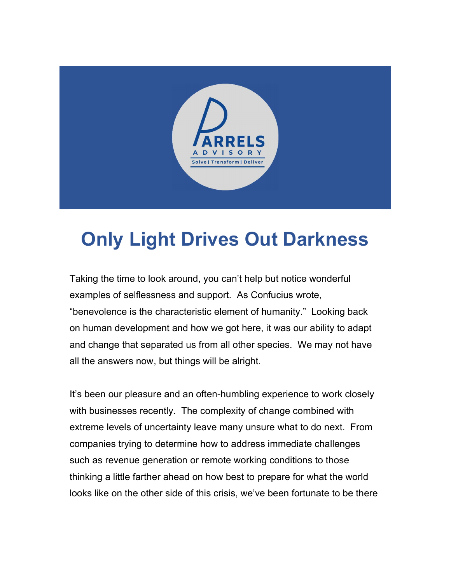

## Only Light Drives Out Darkness

Taking the time to look around, you can't help but notice wonderful examples of selflessness and support. As Confucius wrote, "benevolence is the characteristic element of humanity." Looking back on human development and how we got here, it was our ability to adapt and change that separated us from all other species. We may not have all the answers now, but things will be alright.

It's been our pleasure and an often-humbling experience to work closely with businesses recently. The complexity of change combined with extreme levels of uncertainty leave many unsure what to do next. From companies trying to determine how to address immediate challenges such as revenue generation or remote working conditions to those thinking a little farther ahead on how best to prepare for what the world looks like on the other side of this crisis, we've been fortunate to be there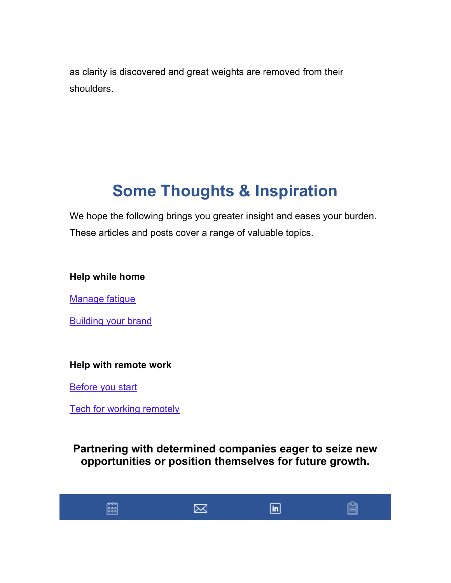as clarity is discovered and great weights are removed from their shoulders.

## Some Thoughts & Inspiration

We hope the following brings you greater insight and eases your burden. These articles and posts cover a range of valuable topics.

## Help while home

Manage fatigue

Building your brand

## Help with remote work

Before you start

Tech for working remotely

Partnering with determined companies eager to seize new opportunities or position themselves for future growth.